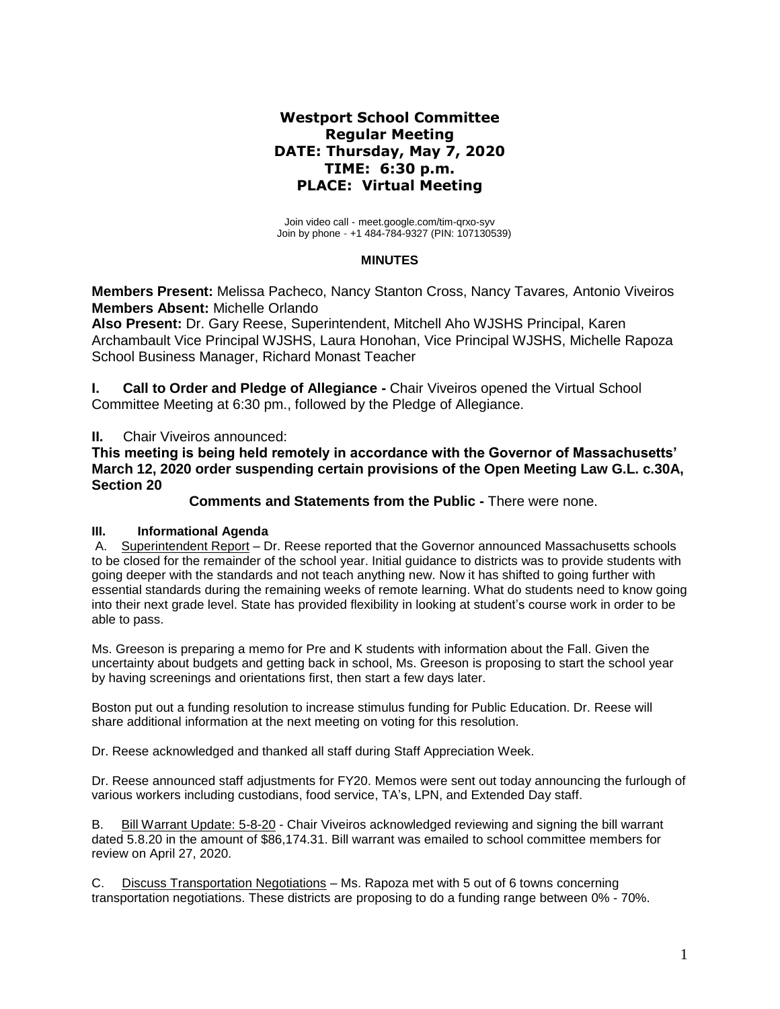# **Westport School Committee Regular Meeting DATE: Thursday, May 7, 2020 TIME: 6:30 p.m. PLACE: Virtual Meeting**

Join video call - [meet.google.com/tim-qrxo-syv](https://meet.google.com/tim-qrxo-syv) Join by phone - +1 484-784-9327 (PIN: 107130539)

# **MINUTES**

**Members Present:** Melissa Pacheco, Nancy Stanton Cross, Nancy Tavares*,* Antonio Viveiros **Members Absent:** Michelle Orlando

**Also Present:** Dr. Gary Reese, Superintendent, Mitchell Aho WJSHS Principal, Karen Archambault Vice Principal WJSHS, Laura Honohan, Vice Principal WJSHS, Michelle Rapoza School Business Manager, Richard Monast Teacher

**I. Call to Order and Pledge of Allegiance -** Chair Viveiros opened the Virtual School Committee Meeting at 6:30 pm., followed by the Pledge of Allegiance.

**II.** Chair Viveiros announced:

**This meeting is being held remotely in accordance with the Governor of Massachusetts' March 12, 2020 order suspending certain provisions of the Open Meeting Law G.L. c.30A, Section 20**

 **Comments and Statements from the Public -** There were none.

# **III. Informational Agenda**

A. Superintendent Report – Dr. Reese reported that the Governor announced Massachusetts schools to be closed for the remainder of the school year. Initial guidance to districts was to provide students with going deeper with the standards and not teach anything new. Now it has shifted to going further with essential standards during the remaining weeks of remote learning. What do students need to know going into their next grade level. State has provided flexibility in looking at student's course work in order to be able to pass.

Ms. Greeson is preparing a memo for Pre and K students with information about the Fall. Given the uncertainty about budgets and getting back in school, Ms. Greeson is proposing to start the school year by having screenings and orientations first, then start a few days later.

Boston put out a funding resolution to increase stimulus funding for Public Education. Dr. Reese will share additional information at the next meeting on voting for this resolution.

Dr. Reese acknowledged and thanked all staff during Staff Appreciation Week.

Dr. Reese announced staff adjustments for FY20. Memos were sent out today announcing the furlough of various workers including custodians, food service, TA's, LPN, and Extended Day staff.

B. Bill Warrant Update: 5-8-20 - Chair Viveiros acknowledged reviewing and signing the bill warrant dated 5.8.20 in the amount of \$86,174.31. Bill warrant was emailed to school committee members for review on April 27, 2020.

C. Discuss Transportation Negotiations – Ms. Rapoza met with 5 out of 6 towns concerning transportation negotiations. These districts are proposing to do a funding range between 0% - 70%.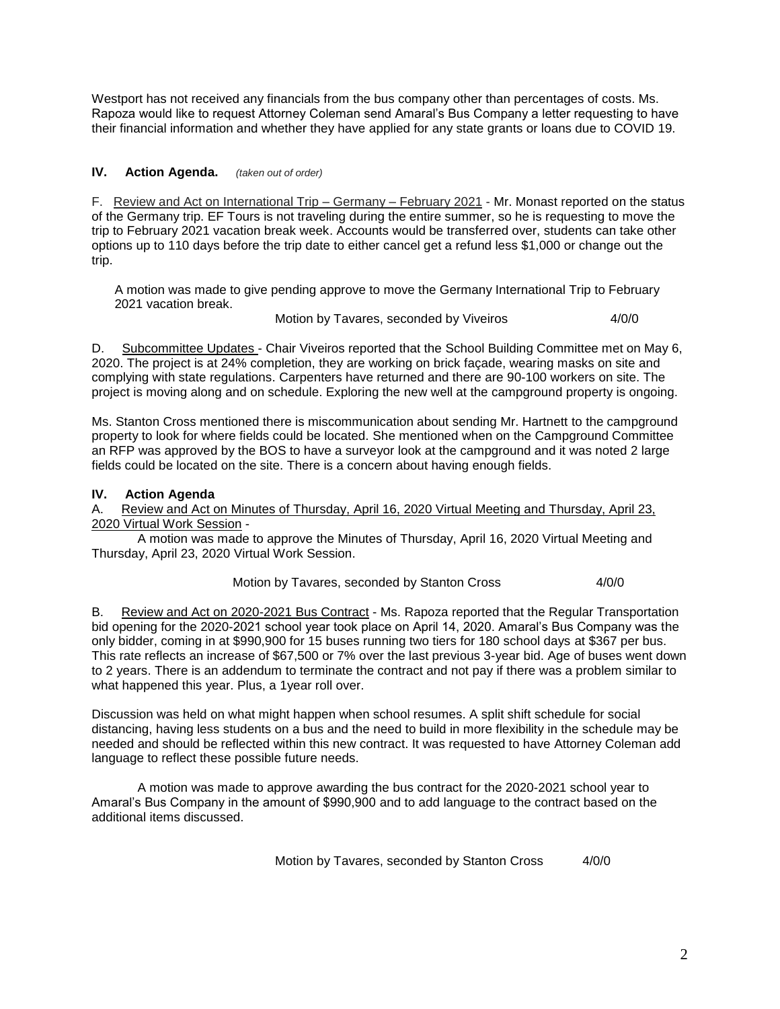Westport has not received any financials from the bus company other than percentages of costs. Ms. Rapoza would like to request Attorney Coleman send Amaral's Bus Company a letter requesting to have their financial information and whether they have applied for any state grants or loans due to COVID 19.

# **IV. Action Agenda.** *(taken out of order)*

F. Review and Act on International Trip – Germany – February 2021 - Mr. Monast reported on the status of the Germany trip. EF Tours is not traveling during the entire summer, so he is requesting to move the trip to February 2021 vacation break week. Accounts would be transferred over, students can take other options up to 110 days before the trip date to either cancel get a refund less \$1,000 or change out the trip.

A motion was made to give pending approve to move the Germany International Trip to February 2021 vacation break.

Motion by Tavares, seconded by Viveiros 4/0/0

D. Subcommittee Updates - Chair Viveiros reported that the School Building Committee met on May 6, 2020. The project is at 24% completion, they are working on brick façade, wearing masks on site and complying with state regulations. Carpenters have returned and there are 90-100 workers on site. The project is moving along and on schedule. Exploring the new well at the campground property is ongoing.

Ms. Stanton Cross mentioned there is miscommunication about sending Mr. Hartnett to the campground property to look for where fields could be located. She mentioned when on the Campground Committee an RFP was approved by the BOS to have a surveyor look at the campground and it was noted 2 large fields could be located on the site. There is a concern about having enough fields.

# **IV. Action Agenda**

A. Review and Act on Minutes of Thursday, April 16, 2020 Virtual Meeting and Thursday, April 23, 2020 Virtual Work Session -

A motion was made to approve the Minutes of Thursday, April 16, 2020 Virtual Meeting and Thursday, April 23, 2020 Virtual Work Session.

# Motion by Tavares, seconded by Stanton Cross 4/0/0

B. Review and Act on 2020-2021 Bus Contract - Ms. Rapoza reported that the Regular Transportation bid opening for the 2020-2021 school year took place on April 14, 2020. Amaral's Bus Company was the only bidder, coming in at \$990,900 for 15 buses running two tiers for 180 school days at \$367 per bus. This rate reflects an increase of \$67,500 or 7% over the last previous 3-year bid. Age of buses went down to 2 years. There is an addendum to terminate the contract and not pay if there was a problem similar to what happened this year. Plus, a 1year roll over.

Discussion was held on what might happen when school resumes. A split shift schedule for social distancing, having less students on a bus and the need to build in more flexibility in the schedule may be needed and should be reflected within this new contract. It was requested to have Attorney Coleman add language to reflect these possible future needs.

A motion was made to approve awarding the bus contract for the 2020-2021 school year to Amaral's Bus Company in the amount of \$990,900 and to add language to the contract based on the additional items discussed.

Motion by Tavares, seconded by Stanton Cross 4/0/0